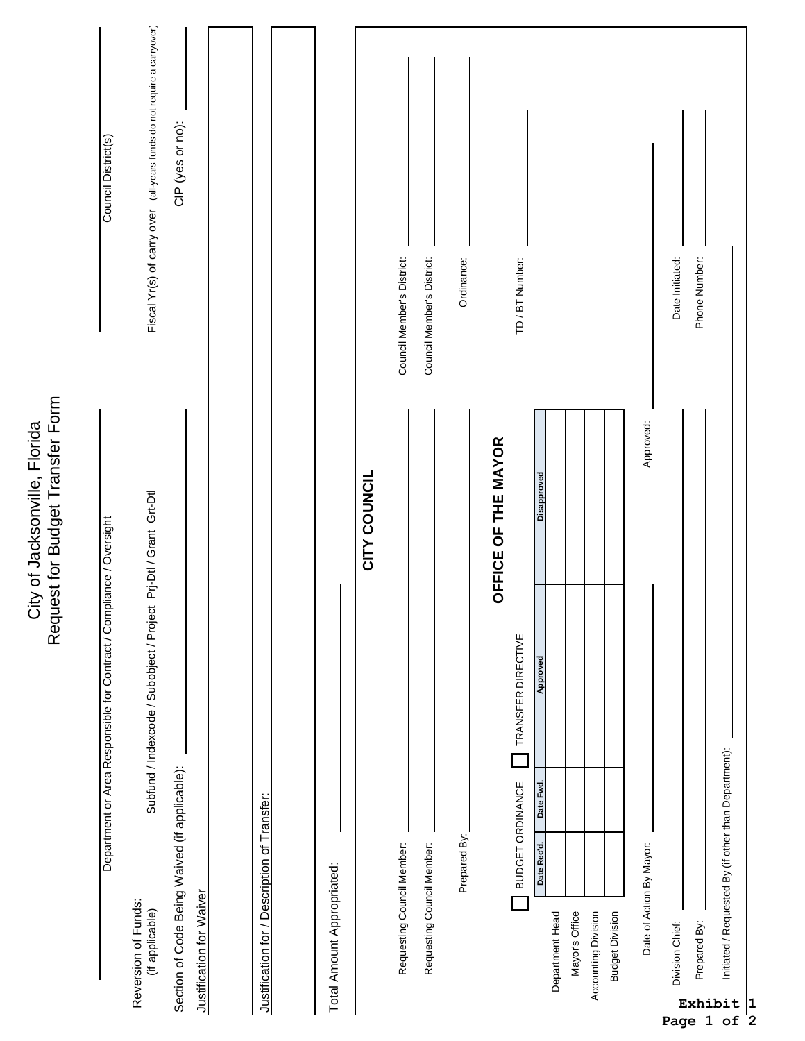|                                                                   | Council District(s)                                                  | Fiscal Yr(s) of carry over (all-years funds do not require a carryover)                                     | CIP (yes or no):                                                          |                                              |  | Total Amount Appropriated: | CITY COUNCIL | Council Member's District: | Council Member's District:<br>Requesting Council Member: | Ordinance:   |                     | TD/BT Number:                          | Disapproved                                             | Approved:      |                     |                        | Date Initiated:          | Phone Number:                     |              |                                                                       |
|-------------------------------------------------------------------|----------------------------------------------------------------------|-------------------------------------------------------------------------------------------------------------|---------------------------------------------------------------------------|----------------------------------------------|--|----------------------------|--------------|----------------------------|----------------------------------------------------------|--------------|---------------------|----------------------------------------|---------------------------------------------------------|----------------|---------------------|------------------------|--------------------------|-----------------------------------|--------------|-----------------------------------------------------------------------|
| Request for Budget Transfer Form<br>City of Jacksonville, Florida | Department or Area Responsible for Contract / Compliance / Oversight | Subfund / Indexcode / Subobject / Project Prj-Dtl / Grant Grt-Dtl<br>Reversion of Funds:<br>(if applicable) | Section of Code Being Waived (if applicable):<br>Justification for Waiver | Justification for / Description of Transfer: |  |                            |              | Requesting Council Member: |                                                          | Prepared By: | OFFICE OF THE MAYOR | TRANSFER DIRECTIVE<br>BUDGET ORDINANCE | Approved<br>Date Fwd.<br>Date Rec'd.<br>Department Head | Mayor's Office | Accounting Division | <b>Budget Division</b> | Date of Action By Mayor: | Division Chief:<br>$\blacksquare$ | Prepared By: | Initiated / Requested By (if other than Department):<br>Exhibit<br> 1 |